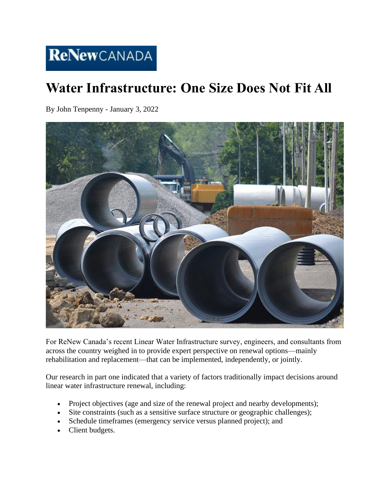## **Water Infrastructure: One Size Does Not Fit All**

By John Tenpenny - January 3, 2022



For ReNew Canada's recent Linear Water Infrastructure survey, engineers, and consultants from across the country weighed in to provide expert perspective on renewal options—mainly rehabilitation and replacement—that can be implemented, independently, or jointly.

Our research in part one indicated that a variety of factors traditionally impact decisions around linear water infrastructure renewal, including:

- Project objectives (age and size of the renewal project and nearby developments);
- Site constraints (such as a sensitive surface structure or geographic challenges);
- Schedule timeframes (emergency service versus planned project); and
- Client budgets.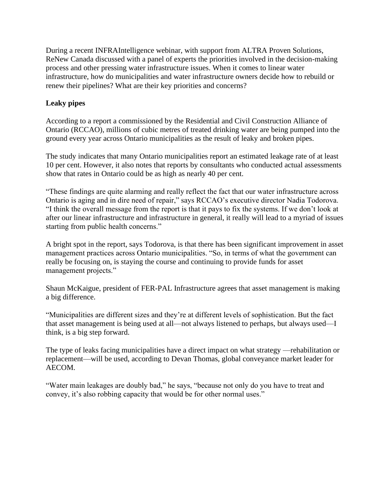During a recent INFRAIntelligence webinar, with support from ALTRA Proven Solutions, ReNew Canada discussed with a panel of experts the priorities involved in the decision-making process and other pressing water infrastructure issues. When it comes to linear water infrastructure, how do municipalities and water infrastructure owners decide how to rebuild or renew their pipelines? What are their key priorities and concerns?

## **Leaky pipes**

According to a report a commissioned by the Residential and Civil Construction Alliance of Ontario (RCCAO), millions of cubic metres of treated drinking water are being pumped into the ground every year across Ontario municipalities as the result of leaky and broken pipes.

The study indicates that many Ontario municipalities report an estimated leakage rate of at least 10 per cent. However, it also notes that reports by consultants who conducted actual assessments show that rates in Ontario could be as high as nearly 40 per cent.

"These findings are quite alarming and really reflect the fact that our water infrastructure across Ontario is aging and in dire need of repair," says RCCAO's executive director Nadia Todorova. "I think the overall message from the report is that it pays to fix the systems. If we don't look at after our linear infrastructure and infrastructure in general, it really will lead to a myriad of issues starting from public health concerns."

A bright spot in the report, says Todorova, is that there has been significant improvement in asset management practices across Ontario municipalities. "So, in terms of what the government can really be focusing on, is staying the course and continuing to provide funds for asset management projects."

Shaun McKaigue, president of FER-PAL Infrastructure agrees that asset management is making a big difference.

"Municipalities are different sizes and they're at different levels of sophistication. But the fact that asset management is being used at all—not always listened to perhaps, but always used—I think, is a big step forward.

The type of leaks facing municipalities have a direct impact on what strategy —rehabilitation or replacement—will be used, according to Devan Thomas, global conveyance market leader for AECOM.

"Water main leakages are doubly bad," he says, "because not only do you have to treat and convey, it's also robbing capacity that would be for other normal uses."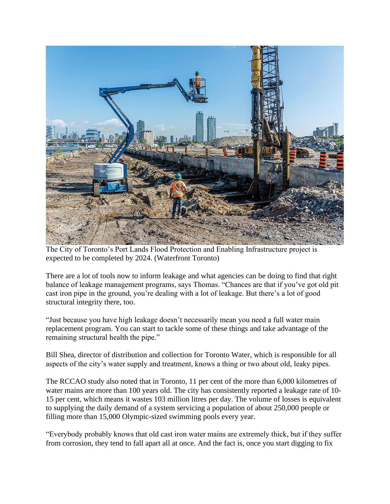

The City of Toronto's Port Lands Flood Protection and Enabling Infrastructure project is expected to be completed by 2024. (Waterfront Toronto)

There are a lot of tools now to inform leakage and what agencies can be doing to find that right balance of leakage management programs, says Thomas. "Chances are that if you've got old pit cast iron pipe in the ground, you're dealing with a lot of leakage. But there's a lot of good structural integrity there, too.

"Just because you have high leakage doesn't necessarily mean you need a full water main replacement program. You can start to tackle some of these things and take advantage of the remaining structural health the pipe."

Bill Shea, director of distribution and collection for Toronto Water, which is responsible for all aspects of the city's water supply and treatment, knows a thing or two about old, leaky pipes.

The RCCAO study also noted that in Toronto, 11 per cent of the more than 6,000 kilometres of water mains are more than 100 years old. The city has consistently reported a leakage rate of 10- 15 per cent, which means it wastes 103 million litres per day. The volume of losses is equivalent to supplying the daily demand of a system servicing a population of about 250,000 people or filling more than 15,000 Olympic-sized swimming pools every year.

"Everybody probably knows that old cast iron water mains are extremely thick, but if they suffer from corrosion, they tend to fall apart all at once. And the fact is, once you start digging to fix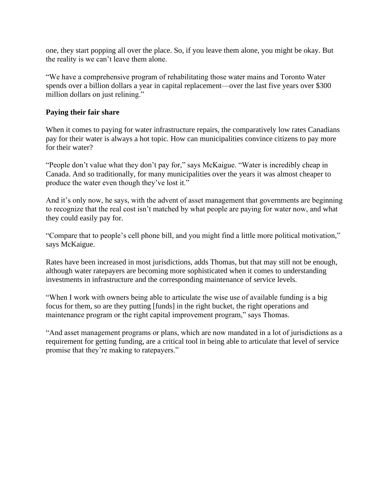one, they start popping all over the place. So, if you leave them alone, you might be okay. But the reality is we can't leave them alone.

"We have a comprehensive program of rehabilitating those water mains and Toronto Water spends over a billion dollars a year in capital replacement—over the last five years over \$300 million dollars on just relining."

## **Paying their fair share**

When it comes to paying for water infrastructure repairs, the comparatively low rates Canadians pay for their water is always a hot topic. How can municipalities convince citizens to pay more for their water?

"People don't value what they don't pay for," says McKaigue. "Water is incredibly cheap in Canada. And so traditionally, for many municipalities over the years it was almost cheaper to produce the water even though they've lost it."

And it's only now, he says, with the advent of asset management that governments are beginning to recognize that the real cost isn't matched by what people are paying for water now, and what they could easily pay for.

"Compare that to people's cell phone bill, and you might find a little more political motivation," says McKaigue.

Rates have been increased in most jurisdictions, adds Thomas, but that may still not be enough, although water ratepayers are becoming more sophisticated when it comes to understanding investments in infrastructure and the corresponding maintenance of service levels.

"When I work with owners being able to articulate the wise use of available funding is a big focus for them, so are they putting [funds] in the right bucket, the right operations and maintenance program or the right capital improvement program," says Thomas.

"And asset management programs or plans, which are now mandated in a lot of jurisdictions as a requirement for getting funding, are a critical tool in being able to articulate that level of service promise that they're making to ratepayers."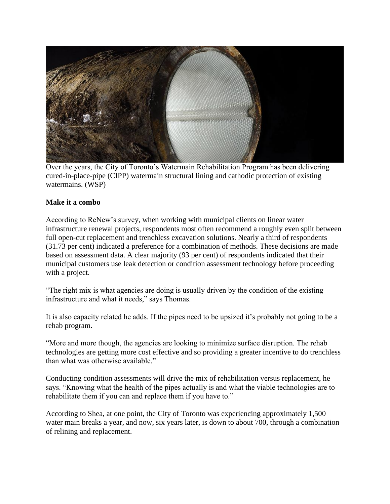

Over the years, the City of Toronto's Watermain Rehabilitation Program has been delivering cured-in-place-pipe (CIPP) watermain structural lining and cathodic protection of existing watermains. (WSP)

## **Make it a combo**

According to ReNew's survey, when working with municipal clients on linear water infrastructure renewal projects, respondents most often recommend a roughly even split between full open-cut replacement and trenchless excavation solutions. Nearly a third of respondents (31.73 per cent) indicated a preference for a combination of methods. These decisions are made based on assessment data. A clear majority (93 per cent) of respondents indicated that their municipal customers use leak detection or condition assessment technology before proceeding with a project.

"The right mix is what agencies are doing is usually driven by the condition of the existing infrastructure and what it needs," says Thomas.

It is also capacity related he adds. If the pipes need to be upsized it's probably not going to be a rehab program.

"More and more though, the agencies are looking to minimize surface disruption. The rehab technologies are getting more cost effective and so providing a greater incentive to do trenchless than what was otherwise available."

Conducting condition assessments will drive the mix of rehabilitation versus replacement, he says. "Knowing what the health of the pipes actually is and what the viable technologies are to rehabilitate them if you can and replace them if you have to."

According to Shea, at one point, the City of Toronto was experiencing approximately 1,500 water main breaks a year, and now, six years later, is down to about 700, through a combination of relining and replacement.